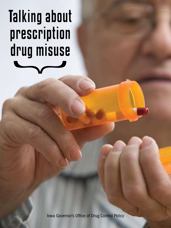Talking about **prescription** drug misuse

Iowa Governor's Office of Drug Control Policy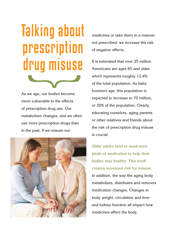# **Talking about** prescription drug misuse

As we age, our bodies become more vulnerable to the effects of prescription drug use. Our metabolism changes, and we often use more prescription drugs than in the past. If we misuse our



medicines or take them in a manner not prescribed, we increase the risk of negative effects.

It is estimated that over 35 million Americans are ages 65 and older, which represents roughly 12.4% of the total population. As baby boomers age, this population is expected to increase to 70 million, or 20% of the population. Clearly, educating ourselves, aging parents or other relatives and friends about the risk of prescription drug misuse is crucial.

**Older adults tend to need more kinds of medication to help their bodies stay healthy. This itself creates increased risk for misuse.** In addition, the way the aging body metabolizes, distributes and removes medication changes. Changes in body weight, circulation and liver and kidney function all impact how medicines affect the body.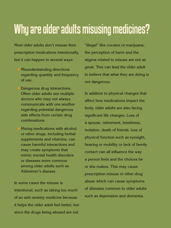# Why are older adults misusing medicines?

Most older adults don't misuse their prescription medications intentionally, but it can happen in several ways:

- **Misunderstanding directions** regarding quantity and frequency of use.
- Dangerous drug interactions. Often older adults see multiple doctors who may not always communicate with one another regarding potential dangerous side effects from certain drug combinations.
- Mixing medications with alcohol or other drugs, including herbal supplements and vitamins, can cause harmful interactions and may create symptoms that mimic mental health disorders or diseases more common among older adults such as Alzheimer's disease.

In some cases the misuse is intentional, such as taking too much of an anti-anxiety medicine because it helps the older adult feel better, but since the drugs being abused are not

"illegal" like cocaine or marijuana, the perception of harm and the stigma related to misuse are not as great. This can lead the older adult to believe that what they are doing is not dangerous.

In addition to physical changes that affect how medications impact the body, older adults are also facing significant life changes. Loss of a spouse, retirement, loneliness, isolation, death of friends, loss of physical function such as eyesight, hearing or mobility or lack of family contact can all influence the way a person feels and the choices he or she makes. This may cause prescription misuse or other drug abuse which can cause symptoms of diseases common to older adults such as depression and dementia.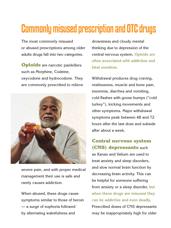### Commonly misused prescription and OTC drugs

The most commonly misused or abused prescriptions among older adults drugs fall into two categories.

**Opioids** are narcotic painkillers such as Morphine, Codeine, oxycodone and hydrocodone. They are commonly prescribed to relieve



severe pain, and with proper medical management their use is safe and rarely causes addiction.

When abused, these drugs cause symptoms similar to those of heroin — a surge of euphoria followed by alternating wakefulness and

drowsiness and cloudy mental thinking due to depression of the central nervous system. **Opioids are often associated with addiction and fatal overdose.** 

Withdrawal produces drug craving, restlessness, muscle and bone pain, insomnia, diarrhea and vomiting, cold flashes with goose bumps ("cold turkey"), kicking movements and other symptoms. Major withdrawal symptoms peak between 48 and 72 hours after the last dose and subside after about a week.

#### Central nervous system (CNS) depressants such

as Xanax and Valium are used to treat anxiety and sleep disorders, and slow normal brain function by decreasing brain activity. This can be helpful for someone suffering from anxiety or a sleep disorder, **but when these drugs are misused they can be addictive and even deadly.**  Prescribed doses of CNS depressants may be inappropriately high for older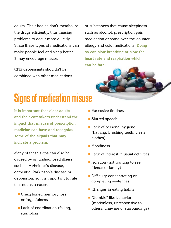adults. Their bodies don't metabolize the drugs efficiently, thus causing problems to occur more quickly. Since these types of medications can make people feel and sleep better, it may encourage misuse.

CNS depressants shouldn't be combined with other medications or substances that cause sleepiness such as alcohol, prescription pain medication or some over-the-counter allergy and cold medications. **Doing so can slow breathing or slow the heart rate and respiration which can be fatal.**



# Signs of medication misuse

**It is important that older adults and their caretakers understand the impact that misuse of prescription medicine can have and recognize some of the signals that may indicate a problem.**

Many of these signs can also be caused by an undiagnosed illness such as Alzheimer's disease, dementia, Parkinson's disease or depression, so it is important to rule that out as a cause.

- **I** Unexplained memory loss or forgetfulness
- $\blacksquare$  Lack of coordination (falling, stumbling)
- **F** Excessive tiredness
- Slurred speech
- **Lack of personal hygiene** (bathing, brushing teeth, clean clothes)
- **n** Moodiness
- $\blacksquare$  Lack of interest in usual activities
- $\blacksquare$  Isolation (not wanting to see friends or family)
- $\blacksquare$  Difficulty concentrating or completing sentences
- $\blacksquare$  Changes in eating habits
- <sup>n</sup> "Zombie" like behavior (motionless, unresponsive to others, unaware of surroundings)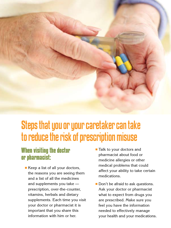

### Steps that you or your caretaker can take to reduce the risk of prescription misuse

### **When visiting the doctor or pharmacist:**

- **Keep a list of all your doctors,** the reasons you are seeing them and a list of all the medicines and supplements you take prescription, over-the-counter, vitamins, herbals and dietary supplements. Each time you visit your doctor or pharmacist it is important that you share this information with him or her.
- **Talk to your doctors and** pharmacist about food or medicine allergies or other medical problems that could affect your ability to take certain medications.
- Don't be afraid to ask questions. Ask your doctor or pharmacist what to expect from drugs you are prescribed. Make sure you feel you have the information needed to effectively manage your health and your medications.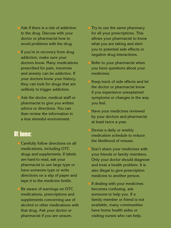- Ask if there is a risk of addiction to the drug. Discuss with your doctor or pharmacist how to avoid problems with the drug.
- If you're in recovery from drug addiction, make sure your doctors know. Many medications prescribed for pain, insomnia and anxiety can be addictive. If your doctors know your history, they can look for drugs that are unlikely to trigger addiction.
- Ask the doctor, medical staff or pharmacist to give you written advice or directions. You can then review the information in a less stressful environment.

#### **At home:**

- Carefully follow directions on all medications, including OTC drugs and supplements. If labels are hard to read, ask your pharmacist to use large type or have someone type or write directions on a slip of paper and tape it to the medicine bottle.
- Be aware of warnings on OTC medications, prescriptions and supplements concerning use of alcohol or other medications with that drug. Ask your doctor or pharmacist if you are unsure.
- Try to use the same pharmacy for all your prescriptions. This allows your pharmacist to know what you are taking and alert you to potential side effects or negative drug interactions.
- Refer to your pharmacist when you have questions about your medicines.
- Keep track of side effects and let the doctor or pharmacist know if you experience unexplained symptoms or changes in the way you feel.
- Have your medicines reviewed by your doctors and pharmacist at least twice a year.
- Devise a daily or weekly medication schedule to reduce the likelihood of misuse.
- Don't share your medicines with your friends or family members. Only your doctor should diagnose and treat a health problem. It is also illegal to give prescription medicine to another person.
- If dealing with your medicines becomes confusing, ask someone to help you. If a family member or friend is not available, many communities have home health aides or visiting nurses who can help.